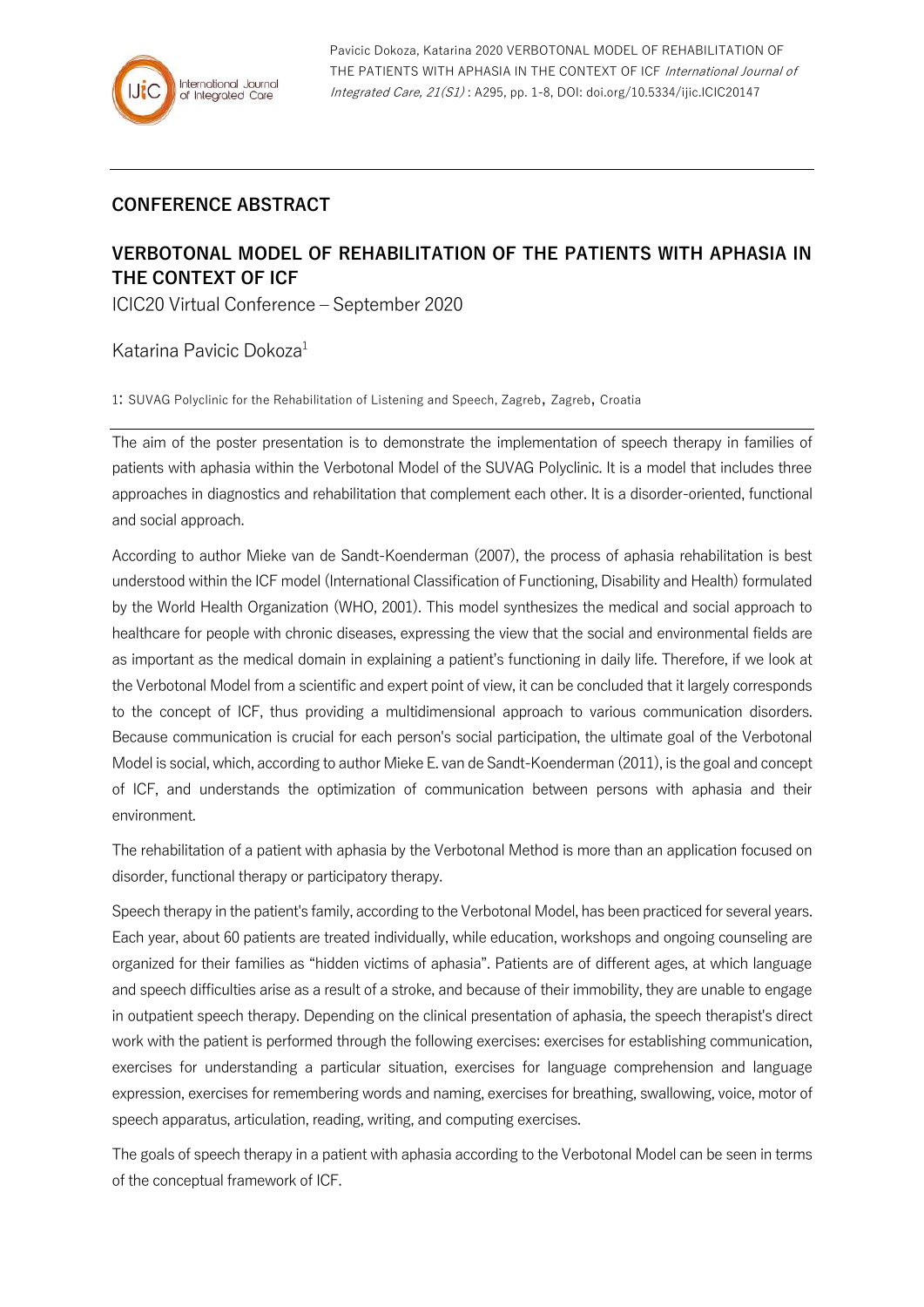## **CONFERENCE ABSTRACT**

## **VERBOTONAL MODEL OF REHABILITATION OF THE PATIENTS WITH APHASIA IN THE CONTEXT OF ICF**

ICIC20 Virtual Conference – September 2020

Katarina Pavicic Dokoza<sup>1</sup>

1: SUVAG Polyclinic for the Rehabilitation of Listening and Speech, Zagreb, Zagreb, Croatia

The aim of the poster presentation is to demonstrate the implementation of speech therapy in families of patients with aphasia within the Verbotonal Model of the SUVAG Polyclinic. It is a model that includes three approaches in diagnostics and rehabilitation that complement each other. It is a disorder-oriented, functional and social approach.

According to author Mieke van de Sandt-Koenderman (2007), the process of aphasia rehabilitation is best understood within the ICF model (International Classification of Functioning, Disability and Health) formulated by the World Health Organization (WHO, 2001). This model synthesizes the medical and social approach to healthcare for people with chronic diseases, expressing the view that the social and environmental fields are as important as the medical domain in explaining a patient's functioning in daily life. Therefore, if we look at the Verbotonal Model from a scientific and expert point of view, it can be concluded that it largely corresponds to the concept of ICF, thus providing a multidimensional approach to various communication disorders. Because communication is crucial for each person's social participation, the ultimate goal of the Verbotonal Model is social, which, according to author Mieke E. van de Sandt-Koenderman (2011), is the goal and concept of ICF, and understands the optimization of communication between persons with aphasia and their environment.

The rehabilitation of a patient with aphasia by the Verbotonal Method is more than an application focused on disorder, functional therapy or participatory therapy.

Speech therapy in the patient's family, according to the Verbotonal Model, has been practiced for several years. Each year, about 60 patients are treated individually, while education, workshops and ongoing counseling are organized for their families as "hidden victims of aphasia". Patients are of different ages, at which language and speech difficulties arise as a result of a stroke, and because of their immobility, they are unable to engage in outpatient speech therapy. Depending on the clinical presentation of aphasia, the speech therapist's direct work with the patient is performed through the following exercises: exercises for establishing communication, exercises for understanding a particular situation, exercises for language comprehension and language expression, exercises for remembering words and naming, exercises for breathing, swallowing, voice, motor of speech apparatus, articulation, reading, writing, and computing exercises.

The goals of speech therapy in a patient with aphasia according to the Verbotonal Model can be seen in terms of the conceptual framework of ICF.